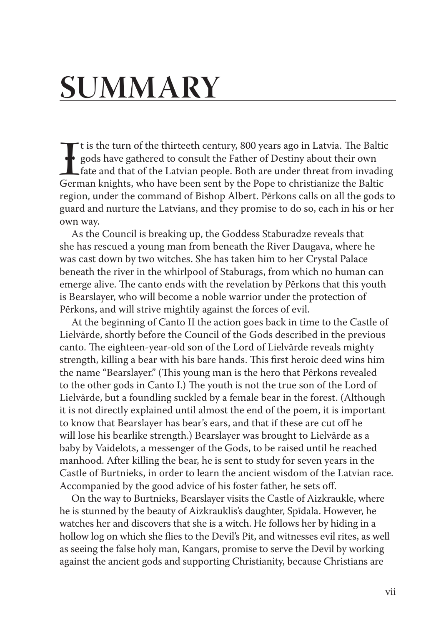## **Summary**

It is the turn of the thirteeth century, 800 years ago in Latvia. The Baltigods have gathered to consult the Father of Destiny about their own fate and that of the Latvian people. Both are under threat from invadir German t is the turn of the thirteeth century, 800 years ago in Latvia. The Baltic gods have gathered to consult the Father of Destiny about their own fate and that of the Latvian people. Both are under threat from invading region, under the command of Bishop Albert. Pērkons calls on all the gods to guard and nurture the Latvians, and they promise to do so, each in his or her own way.

As the Council is breaking up, the Goddess Staburadze reveals that she has rescued a young man from beneath the River Daugava, where he was cast down by two witches. She has taken him to her Crystal Palace beneath the river in the whirlpool of Staburags, from which no human can emerge alive. The canto ends with the revelation by Pērkons that this youth is Bearslayer, who will become a noble warrior under the protection of Pērkons, and will strive mightily against the forces of evil.

At the beginning of Canto II the action goes back in time to the Castle of Lielvārde, shortly before the council of the Gods described in the previous canto. The eighteen-year-old son of the Lord of Lielvārde reveals mighty strength, killing a bear with his bare hands. This first heroic deed wins him the name "Bearslayer." (This young man is the hero that Pērkons revealed to the other gods in Canto I.) The youth is not the true son of the Lord of Lielvārde, but a foundling suckled by a female bear in the forest. (Although it is not directly explained until almost the end of the poem, it is important to know that Bearslayer has bear's ears, and that if these are cut off he will lose his bearlike strength.) Bearslayer was brought to Lielvārde as a baby by Vaidelots, a messenger of the Gods, to be raised until he reached manhood. After killing the bear, he is sent to study for seven years in the Castle of Burtnieks, in order to learn the ancient wisdom of the Latvian race. Accompanied by the good advice of his foster father, he sets off.

On the way to Burtnieks, Bearslayer visits the castle of Aizkraukle, where he is stunned by the beauty of Aizkrauklis's daughter, Spīdala. However, he watches her and discovers that she is a witch. He follows her by hiding in a hollow log on which she flies to the Devil's Pit, and witnesses evil rites, as well as seeing the false holy man, Kangars, promise to serve the Devil by working against the ancient gods and supporting Christianity, because Christians are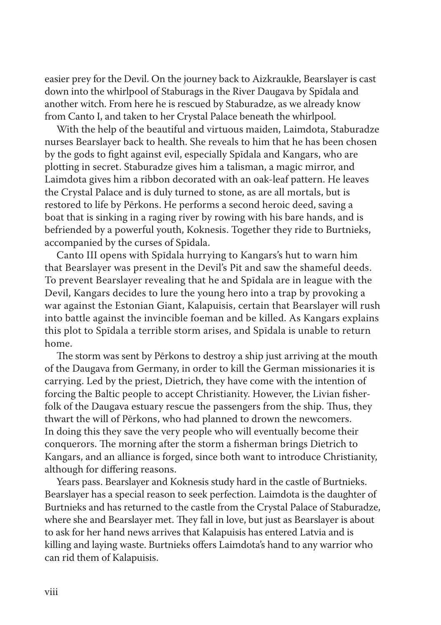easier prey for the Devil. On the journey back to Aizkraukle, Bearslayer is cast down into the whirlpool of Staburags in the River Daugava by Spīdala and another witch. From here he is rescued by Staburadze, as we already know from Canto I, and taken to her Crystal Palace beneath the whirlpool.

With the help of the beautiful and virtuous maiden, Laimdota, Staburadze nurses Bearslayer back to health. She reveals to him that he has been chosen by the gods to fight against evil, especially Spīdala and Kangars, who are plotting in secret. Staburadze gives him a talisman, a magic mirror, and Laimdota gives him a ribbon decorated with an oak-leaf pattern. He leaves the Crystal Palace and is duly turned to stone, as are all mortals, but is restored to life by Pērkons. He performs a second heroic deed, saving a boat that is sinking in a raging river by rowing with his bare hands, and is befriended by a powerful youth, Koknesis. Together they ride to Burtnieks, accompanied by the curses of Spīdala.

Canto III opens with Spīdala hurrying to Kangars's hut to warn him that Bearslayer was present in the Devil's Pit and saw the shameful deeds. To prevent Bearslayer revealing that he and Spīdala are in league with the Devil, Kangars decides to lure the young hero into a trap by provoking a war against the Estonian Giant, Kalapuisis, certain that Bearslayer will rush into battle against the invincible foeman and be killed. As Kangars explains this plot to Spīdala a terrible storm arises, and Spīdala is unable to return home.

The storm was sent by Pērkons to destroy a ship just arriving at the mouth of the Daugava from Germany, in order to kill the German missionaries it is carrying. Led by the priest, Dietrich, they have come with the intention of forcing the Baltic people to accept Christianity. However, the Livian fisherfolk of the Daugava estuary rescue the passengers from the ship. Thus, they thwart the will of Pērkons, who had planned to drown the newcomers. In doing this they save the very people who will eventually become their conquerors. The morning after the storm a fisherman brings Dietrich to Kangars, and an alliance is forged, since both want to introduce Christianity, although for differing reasons.

Years pass. Bearslayer and Koknesis study hard in the castle of Burtnieks. Bearslayer has a special reason to seek perfection. Laimdota is the daughter of Burtnieks and has returned to the castle from the Crystal Palace of Staburadze, where she and Bearslayer met. They fall in love, but just as Bearslayer is about to ask for her hand news arrives that Kalapuisis has entered Latvia and is killing and laying waste. Burtnieks offers Laimdota's hand to any warrior who can rid them of Kalapuisis.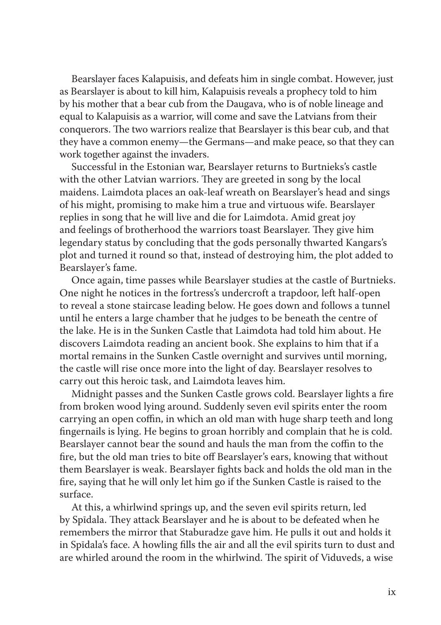Bearslayer faces Kalapuisis, and defeats him in single combat. However, just as Bearslayer is about to kill him, Kalapuisis reveals a prophecy told to him by his mother that a bear cub from the Daugava, who is of noble lineage and equal to Kalapuisis as a warrior, will come and save the Latvians from their conquerors. The two warriors realize that Bearslayer is this bear cub, and that they have a common enemy—the Germans—and make peace, so that they can work together against the invaders.

Successful in the Estonian war, Bearslayer returns to Burtnieks's castle with the other Latvian warriors. They are greeted in song by the local maidens. Laimdota places an oak-leaf wreath on Bearslayer's head and sings of his might, promising to make him a true and virtuous wife. Bearslayer replies in song that he will live and die for Laimdota. Amid great joy and feelings of brotherhood the warriors toast Bearslayer. They give him legendary status by concluding that the gods personally thwarted Kangars's plot and turned it round so that, instead of destroying him, the plot added to Bearslayer's fame.

Once again, time passes while Bearslayer studies at the castle of Burtnieks. One night he notices in the fortress's undercroft a trapdoor, left half-open to reveal a stone staircase leading below. He goes down and follows a tunnel until he enters a large chamber that he judges to be beneath the centre of the lake. He is in the Sunken Castle that Laimdota had told him about. He discovers Laimdota reading an ancient book. She explains to him that if a mortal remains in the Sunken Castle overnight and survives until morning, the castle will rise once more into the light of day. Bearslayer resolves to carry out this heroic task, and Laimdota leaves him.

Midnight passes and the Sunken Castle grows cold. Bearslayer lights a fire from broken wood lying around. Suddenly seven evil spirits enter the room carrying an open coffin, in which an old man with huge sharp teeth and long fingernails is lying. He begins to groan horribly and complain that he is cold. Bearslayer cannot bear the sound and hauls the man from the coffin to the fire, but the old man tries to bite off Bearslayer's ears, knowing that without them Bearslayer is weak. Bearslayer fights back and holds the old man in the fire, saying that he will only let him go if the Sunken Castle is raised to the surface.

At this, a whirlwind springs up, and the seven evil spirits return, led by Spīdala. They attack Bearslayer and he is about to be defeated when he remembers the mirror that Staburadze gave him. He pulls it out and holds it in Spīdala's face. A howling fills the air and all the evil spirits turn to dust and are whirled around the room in the whirlwind. The spirit of Viduveds, a wise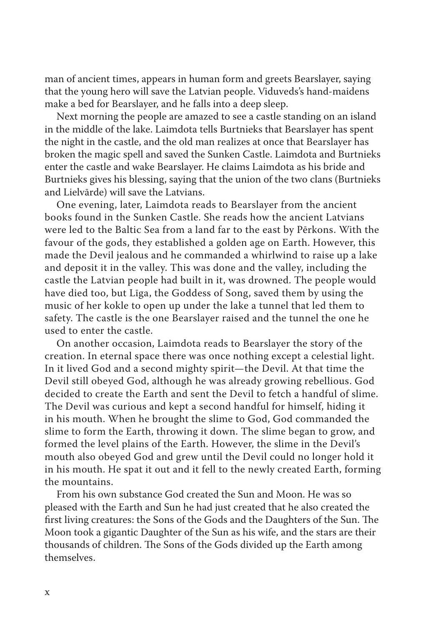man of ancient times, appears in human form and greets Bearslayer, saying that the young hero will save the Latvian people. Viduveds's hand-maidens make a bed for Bearslayer, and he falls into a deep sleep.

Next morning the people are amazed to see a castle standing on an island in the middle of the lake. Laimdota tells Burtnieks that Bearslayer has spent the night in the castle, and the old man realizes at once that Bearslayer has broken the magic spell and saved the Sunken Castle. Laimdota and Burtnieks enter the castle and wake Bearslayer. He claims Laimdota as his bride and Burtnieks gives his blessing, saying that the union of the two clans (Burtnieks and Lielvārde) will save the Latvians.

One evening, later, Laimdota reads to Bearslayer from the ancient books found in the Sunken Castle. She reads how the ancient Latvians were led to the Baltic Sea from a land far to the east by Pērkons. With the favour of the gods, they established a golden age on Earth. However, this made the Devil jealous and he commanded a whirlwind to raise up a lake and deposit it in the valley. This was done and the valley, including the castle the Latvian people had built in it, was drowned. The people would have died too, but Līga, the Goddess of Song, saved them by using the music of her kokle to open up under the lake a tunnel that led them to safety. The castle is the one Bearslayer raised and the tunnel the one he used to enter the castle.

On another occasion, Laimdota reads to Bearslayer the story of the creation. In eternal space there was once nothing except a celestial light. In it lived God and a second mighty spirit—the Devil. At that time the Devil still obeyed God, although he was already growing rebellious. God decided to create the Earth and sent the Devil to fetch a handful of slime. The Devil was curious and kept a second handful for himself, hiding it in his mouth. When he brought the slime to God, God commanded the slime to form the Earth, throwing it down. The slime began to grow, and formed the level plains of the Earth. However, the slime in the Devil's mouth also obeyed God and grew until the Devil could no longer hold it in his mouth. He spat it out and it fell to the newly created Earth, forming the mountains.

From his own substance God created the Sun and Moon. He was so pleased with the Earth and Sun he had just created that he also created the first living creatures: the Sons of the Gods and the Daughters of the Sun. The Moon took a gigantic Daughter of the Sun as his wife, and the stars are their thousands of children. The Sons of the Gods divided up the Earth among themselves.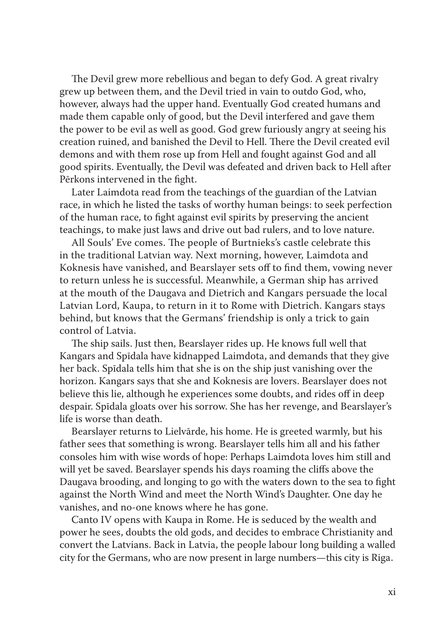The Devil grew more rebellious and began to defy God. A great rivalry grew up between them, and the Devil tried in vain to outdo God, who, however, always had the upper hand. Eventually God created humans and made them capable only of good, but the Devil interfered and gave them the power to be evil as well as good. God grew furiously angry at seeing his creation ruined, and banished the Devil to Hell. There the Devil created evil demons and with them rose up from Hell and fought against God and all good spirits. Eventually, the Devil was defeated and driven back to Hell after Pērkons intervened in the fight.

Later Laimdota read from the teachings of the guardian of the Latvian race, in which he listed the tasks of worthy human beings: to seek perfection of the human race, to fight against evil spirits by preserving the ancient teachings, to make just laws and drive out bad rulers, and to love nature.

All Souls' Eve comes. The people of Burtnieks's castle celebrate this in the traditional Latvian way. Next morning, however, Laimdota and Koknesis have vanished, and Bearslayer sets off to find them, vowing never to return unless he is successful. Meanwhile, a German ship has arrived at the mouth of the Daugava and Dietrich and Kangars persuade the local Latvian Lord, Kaupa, to return in it to Rome with Dietrich. Kangars stays behind, but knows that the Germans' friendship is only a trick to gain control of Latvia.

The ship sails. Just then, Bearslayer rides up. He knows full well that Kangars and Spīdala have kidnapped Laimdota, and demands that they give her back. Spīdala tells him that she is on the ship just vanishing over the horizon. Kangars says that she and Koknesis are lovers. Bearslayer does not believe this lie, although he experiences some doubts, and rides off in deep despair. Spīdala gloats over his sorrow. She has her revenge, and Bearslayer's life is worse than death.

Bearslayer returns to Lielvārde, his home. He is greeted warmly, but his father sees that something is wrong. Bearslayer tells him all and his father consoles him with wise words of hope: Perhaps Laimdota loves him still and will yet be saved. Bearslayer spends his days roaming the cliffs above the Daugava brooding, and longing to go with the waters down to the sea to fight against the North Wind and meet the North Wind's Daughter. One day he vanishes, and no-one knows where he has gone.

Canto IV opens with Kaupa in Rome. He is seduced by the wealth and power he sees, doubts the old gods, and decides to embrace Christianity and convert the Latvians. Back in Latvia, the people labour long building a walled city for the Germans, who are now present in large numbers—this city is Riga.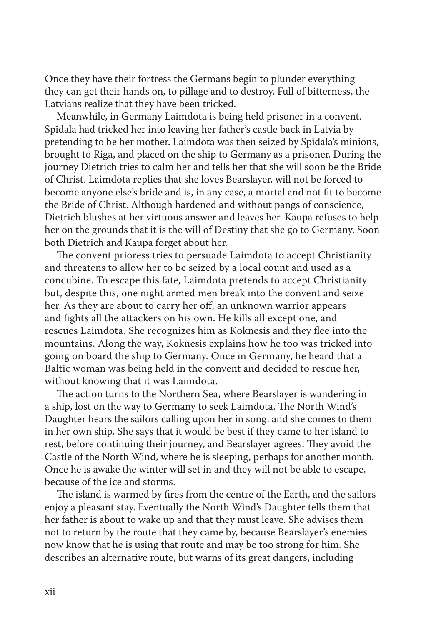Once they have their fortress the Germans begin to plunder everything they can get their hands on, to pillage and to destroy. Full of bitterness, the Latvians realize that they have been tricked.

Meanwhile, in Germany Laimdota is being held prisoner in a convent. Spīdala had tricked her into leaving her father's castle back in Latvia by pretending to be her mother. Laimdota was then seized by Spīdala's minions, brought to Riga, and placed on the ship to Germany as a prisoner. During the journey Dietrich tries to calm her and tells her that she will soon be the Bride of Christ. Laimdota replies that she loves Bearslayer, will not be forced to become anyone else's bride and is, in any case, a mortal and not fit to become the Bride of Christ. Although hardened and without pangs of conscience, Dietrich blushes at her virtuous answer and leaves her. Kaupa refuses to help her on the grounds that it is the will of Destiny that she go to Germany. Soon both Dietrich and Kaupa forget about her.

The convent prioress tries to persuade Laimdota to accept Christianity and threatens to allow her to be seized by a local count and used as a concubine. To escape this fate, Laimdota pretends to accept Christianity but, despite this, one night armed men break into the convent and seize her. As they are about to carry her off, an unknown warrior appears and fights all the attackers on his own. He kills all except one, and rescues Laimdota. She recognizes him as Koknesis and they flee into the mountains. Along the way, Koknesis explains how he too was tricked into going on board the ship to Germany. Once in Germany, he heard that a Baltic woman was being held in the convent and decided to rescue her, without knowing that it was Laimdota.

The action turns to the Northern Sea, where Bearslayer is wandering in a ship, lost on the way to Germany to seek Laimdota. The North Wind's Daughter hears the sailors calling upon her in song, and she comes to them in her own ship. She says that it would be best if they came to her island to rest, before continuing their journey, and Bearslayer agrees. They avoid the Castle of the North Wind, where he is sleeping, perhaps for another month. Once he is awake the winter will set in and they will not be able to escape, because of the ice and storms.

The island is warmed by fires from the centre of the Earth, and the sailors enjoy a pleasant stay. Eventually the North Wind's Daughter tells them that her father is about to wake up and that they must leave. She advises them not to return by the route that they came by, because Bearslayer's enemies now know that he is using that route and may be too strong for him. She describes an alternative route, but warns of its great dangers, including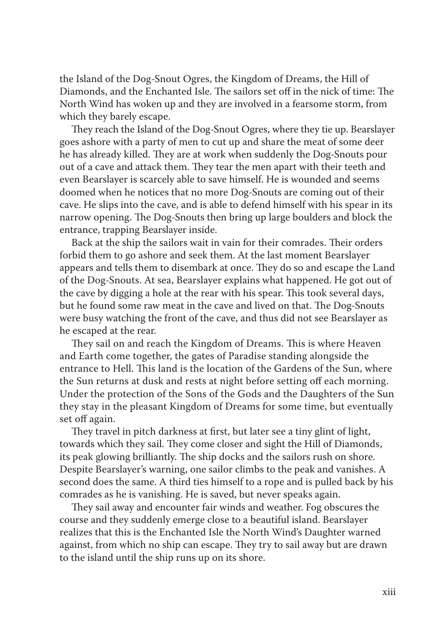the Island of the Dog-Snout Ogres, the Kingdom of Dreams, the Hill of Diamonds, and the Enchanted Isle. The sailors set off in the nick of time: The North Wind has woken up and they are involved in a fearsome storm, from which they barely escape.

They reach the Island of the Dog-Snout Ogres, where they tie up. Bearslayer goes ashore with a party of men to cut up and share the meat of some deer he has already killed. They are at work when suddenly the Dog-Snouts pour out of a cave and attack them. They tear the men apart with their teeth and even Bearslayer is scarcely able to save himself. He is wounded and seems doomed when he notices that no more Dog-Snouts are coming out of their cave. He slips into the cave, and is able to defend himself with his spear in its narrow opening. The Dog-Snouts then bring up large boulders and block the entrance, trapping Bearslayer inside.

Back at the ship the sailors wait in vain for their comrades. Their orders forbid them to go ashore and seek them. At the last moment Bearslayer appears and tells them to disembark at once. They do so and escape the Land of the Dog-Snouts. At sea, Bearslayer explains what happened. He got out of the cave by digging a hole at the rear with his spear. This took several days, but he found some raw meat in the cave and lived on that. The Dog-Snouts were busy watching the front of the cave, and thus did not see Bearslayer as he escaped at the rear.

They sail on and reach the Kingdom of Dreams. This is where Heaven and Earth come together, the gates of Paradise standing alongside the entrance to Hell. This land is the location of the Gardens of the Sun, where the Sun returns at dusk and rests at night before setting off each morning. Under the protection of the Sons of the Gods and the Daughters of the Sun they stay in the pleasant Kingdom of Dreams for some time, but eventually set off again.

They travel in pitch darkness at first, but later see a tiny glint of light, towards which they sail. They come closer and sight the Hill of Diamonds, its peak glowing brilliantly. The ship docks and the sailors rush on shore. Despite Bearslayer's warning, one sailor climbs to the peak and vanishes. A second does the same. A third ties himself to a rope and is pulled back by his comrades as he is vanishing. He is saved, but never speaks again.

They sail away and encounter fair winds and weather. Fog obscures the course and they suddenly emerge close to a beautiful island. Bearslayer realizes that this is the Enchanted Isle the North Wind's Daughter warned against, from which no ship can escape. They try to sail away but are drawn to the island until the ship runs up on its shore.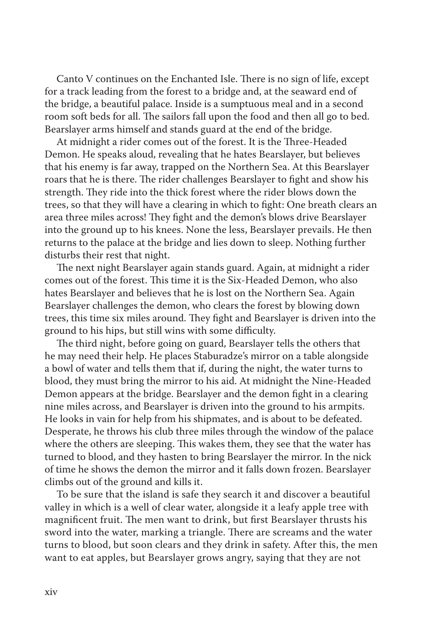Canto V continues on the Enchanted Isle. There is no sign of life, except for a track leading from the forest to a bridge and, at the seaward end of the bridge, a beautiful palace. Inside is a sumptuous meal and in a second room soft beds for all. The sailors fall upon the food and then all go to bed. Bearslayer arms himself and stands guard at the end of the bridge.

At midnight a rider comes out of the forest. It is the Three-Headed Demon. He speaks aloud, revealing that he hates Bearslayer, but believes that his enemy is far away, trapped on the Northern Sea. At this Bearslayer roars that he is there. The rider challenges Bearslayer to fight and show his strength. They ride into the thick forest where the rider blows down the trees, so that they will have a clearing in which to fight: One breath clears an area three miles across! They fight and the demon's blows drive Bearslayer into the ground up to his knees. None the less, Bearslayer prevails. He then returns to the palace at the bridge and lies down to sleep. Nothing further disturbs their rest that night.

The next night Bearslayer again stands guard. Again, at midnight a rider comes out of the forest. This time it is the Six-Headed Demon, who also hates Bearslayer and believes that he is lost on the Northern Sea. Again Bearslayer challenges the demon, who clears the forest by blowing down trees, this time six miles around. They fight and Bearslayer is driven into the ground to his hips, but still wins with some difficulty.

The third night, before going on guard, Bearslayer tells the others that he may need their help. He places Staburadze's mirror on a table alongside a bowl of water and tells them that if, during the night, the water turns to blood, they must bring the mirror to his aid. At midnight the Nine-Headed Demon appears at the bridge. Bearslayer and the demon fight in a clearing nine miles across, and Bearslayer is driven into the ground to his armpits. He looks in vain for help from his shipmates, and is about to be defeated. Desperate, he throws his club three miles through the window of the palace where the others are sleeping. This wakes them, they see that the water has turned to blood, and they hasten to bring Bearslayer the mirror. In the nick of time he shows the demon the mirror and it falls down frozen. Bearslayer climbs out of the ground and kills it.

To be sure that the island is safe they search it and discover a beautiful valley in which is a well of clear water, alongside it a leafy apple tree with magnificent fruit. The men want to drink, but first Bearslayer thrusts his sword into the water, marking a triangle. There are screams and the water turns to blood, but soon clears and they drink in safety. After this, the men want to eat apples, but Bearslayer grows angry, saying that they are not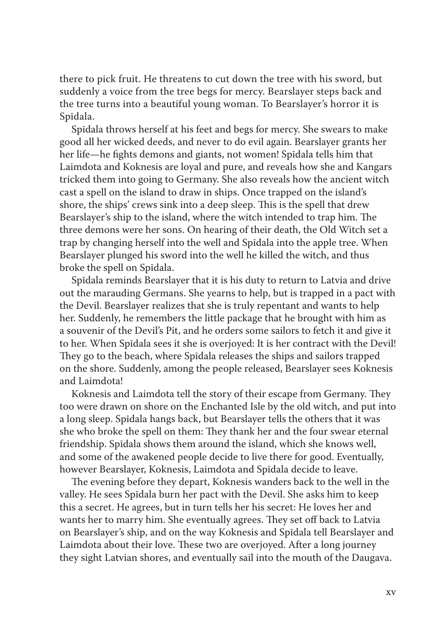there to pick fruit. He threatens to cut down the tree with his sword, but suddenly a voice from the tree begs for mercy. Bearslayer steps back and the tree turns into a beautiful young woman. To Bearslayer's horror it is Spīdala.

Spīdala throws herself at his feet and begs for mercy. She swears to make good all her wicked deeds, and never to do evil again. Bearslayer grants her her life—he fights demons and giants, not women! Spīdala tells him that Laimdota and Koknesis are loyal and pure, and reveals how she and Kangars tricked them into going to Germany. She also reveals how the ancient witch cast a spell on the island to draw in ships. Once trapped on the island's shore, the ships' crews sink into a deep sleep. This is the spell that drew Bearslayer's ship to the island, where the witch intended to trap him. The three demons were her sons. On hearing of their death, the Old Witch set a trap by changing herself into the well and Spīdala into the apple tree. When Bearslayer plunged his sword into the well he killed the witch, and thus broke the spell on Spīdala.

Spīdala reminds Bearslayer that it is his duty to return to Latvia and drive out the marauding Germans. She yearns to help, but is trapped in a pact with the Devil. Bearslayer realizes that she is truly repentant and wants to help her. Suddenly, he remembers the little package that he brought with him as a souvenir of the Devil's Pit, and he orders some sailors to fetch it and give it to her. When Spīdala sees it she is overjoyed: It is her contract with the Devil! They go to the beach, where Spīdala releases the ships and sailors trapped on the shore. Suddenly, among the people released, Bearslayer sees Koknesis and Laimdota!

Koknesis and Laimdota tell the story of their escape from Germany. They too were drawn on shore on the Enchanted Isle by the old witch, and put into a long sleep. Spīdala hangs back, but Bearslayer tells the others that it was she who broke the spell on them: They thank her and the four swear eternal friendship. Spīdala shows them around the island, which she knows well, and some of the awakened people decide to live there for good. Eventually, however Bearslayer, Koknesis, Laimdota and Spīdala decide to leave.

The evening before they depart, Koknesis wanders back to the well in the valley. He sees Spīdala burn her pact with the Devil. She asks him to keep this a secret. He agrees, but in turn tells her his secret: He loves her and wants her to marry him. She eventually agrees. They set off back to Latvia on Bearslayer's ship, and on the way Koknesis and Spīdala tell Bearslayer and Laimdota about their love. These two are overjoyed. After a long journey they sight Latvian shores, and eventually sail into the mouth of the Daugava.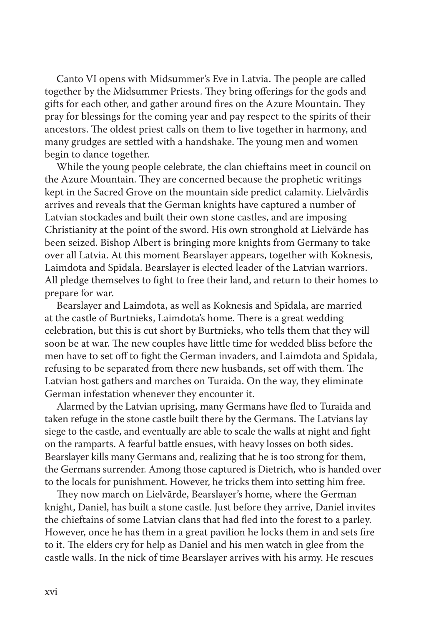Canto VI opens with Midsummer's Eve in Latvia. The people are called together by the Midsummer Priests. They bring offerings for the gods and gifts for each other, and gather around fires on the Azure Mountain. They pray for blessings for the coming year and pay respect to the spirits of their ancestors. The oldest priest calls on them to live together in harmony, and many grudges are settled with a handshake. The young men and women begin to dance together.

While the young people celebrate, the clan chieftains meet in council on the Azure Mountain. They are concerned because the prophetic writings kept in the Sacred Grove on the mountain side predict calamity. Lielvārdis arrives and reveals that the German knights have captured a number of Latvian stockades and built their own stone castles, and are imposing Christianity at the point of the sword. His own stronghold at Lielvārde has been seized. Bishop Albert is bringing more knights from Germany to take over all Latvia. At this moment Bearslayer appears, together with Koknesis, Laimdota and Spīdala. Bearslayer is elected leader of the Latvian warriors. All pledge themselves to fight to free their land, and return to their homes to prepare for war.

Bearslayer and Laimdota, as well as Koknesis and Spīdala, are married at the castle of Burtnieks, Laimdota's home. There is a great wedding celebration, but this is cut short by Burtnieks, who tells them that they will soon be at war. The new couples have little time for wedded bliss before the men have to set off to fight the German invaders, and Laimdota and Spīdala, refusing to be separated from there new husbands, set off with them. The Latvian host gathers and marches on Turaida. On the way, they eliminate German infestation whenever they encounter it.

Alarmed by the Latvian uprising, many Germans have fled to Turaida and taken refuge in the stone castle built there by the Germans. The Latvians lay siege to the castle, and eventually are able to scale the walls at night and fight on the ramparts. A fearful battle ensues, with heavy losses on both sides. Bearslayer kills many Germans and, realizing that he is too strong for them, the Germans surrender. Among those captured is Dietrich, who is handed over to the locals for punishment. However, he tricks them into setting him free.

They now march on Lielvārde, Bearslayer's home, where the German knight, Daniel, has built a stone castle. Just before they arrive, Daniel invites the chieftains of some Latvian clans that had fled into the forest to a parley. However, once he has them in a great pavilion he locks them in and sets fire to it. The elders cry for help as Daniel and his men watch in glee from the castle walls. In the nick of time Bearslayer arrives with his army. He rescues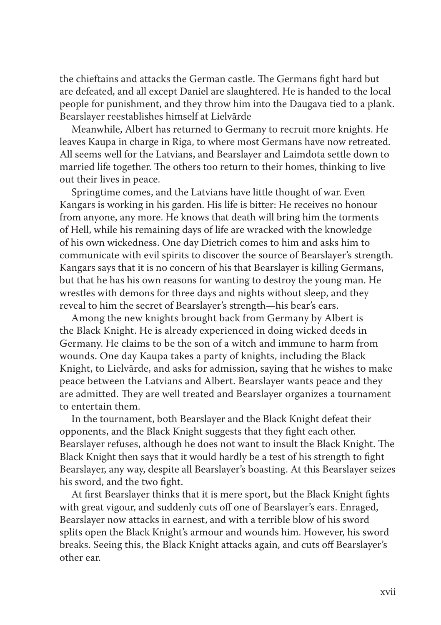the chieftains and attacks the German castle. The Germans fight hard but are defeated, and all except Daniel are slaughtered. He is handed to the local people for punishment, and they throw him into the Daugava tied to a plank. Bearslayer reestablishes himself at Lielvārde

Meanwhile, Albert has returned to Germany to recruit more knights. He leaves Kaupa in charge in Riga, to where most Germans have now retreated. All seems well for the Latvians, and Bearslayer and Laimdota settle down to married life together. The others too return to their homes, thinking to live out their lives in peace.

Springtime comes, and the Latvians have little thought of war. Even Kangars is working in his garden. His life is bitter: He receives no honour from anyone, any more. He knows that death will bring him the torments of Hell, while his remaining days of life are wracked with the knowledge of his own wickedness. One day Dietrich comes to him and asks him to communicate with evil spirits to discover the source of Bearslayer's strength. Kangars says that it is no concern of his that Bearslayer is killing Germans, but that he has his own reasons for wanting to destroy the young man. He wrestles with demons for three days and nights without sleep, and they reveal to him the secret of Bearslayer's strength—his bear's ears.

Among the new knights brought back from Germany by Albert is the Black Knight. He is already experienced in doing wicked deeds in Germany. He claims to be the son of a witch and immune to harm from wounds. One day Kaupa takes a party of knights, including the Black Knight, to Lielvārde, and asks for admission, saying that he wishes to make peace between the Latvians and Albert. Bearslayer wants peace and they are admitted. They are well treated and Bearslayer organizes a tournament to entertain them.

In the tournament, both Bearslayer and the Black Knight defeat their opponents, and the Black Knight suggests that they fight each other. Bearslayer refuses, although he does not want to insult the Black Knight. The Black Knight then says that it would hardly be a test of his strength to fight Bearslayer, any way, despite all Bearslayer's boasting. At this Bearslayer seizes his sword, and the two fight.

At first Bearslayer thinks that it is mere sport, but the Black Knight fights with great vigour, and suddenly cuts off one of Bearslayer's ears. Enraged, Bearslayer now attacks in earnest, and with a terrible blow of his sword splits open the Black Knight's armour and wounds him. However, his sword breaks. Seeing this, the Black Knight attacks again, and cuts off Bearslayer's other ear.